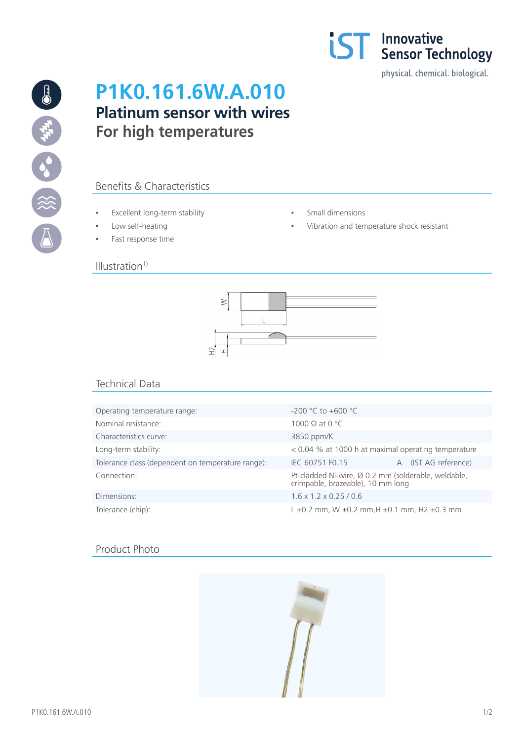

13 第一章

# **P1K0.161.6W.A.010 Platinum sensor with wires For high temperatures**

## Benefits & Characteristics

- Excellent long-term stability Small dimensions
- 
- Fast response time

#### $Illustration<sup>1</sup>$

- 
- Low self-heating  $\qquad \qquad \bullet$  Vibration and temperature shock resistant



## Technical Data

| Operating temperature range:                      | $-200$ °C to $+600$ °C                                                                   |                      |
|---------------------------------------------------|------------------------------------------------------------------------------------------|----------------------|
| Nominal resistance:                               | 1000 $\Omega$ at 0 °C                                                                    |                      |
| Characteristics curve:                            | 3850 ppm/K                                                                               |                      |
| Long-term stability:                              | $<$ 0.04 % at 1000 h at maximal operating temperature                                    |                      |
| Tolerance class (dependent on temperature range): | IEC 60751 F0.15                                                                          | A (IST AG reference) |
| Connection:                                       | Pt-cladded Ni-wire, Ø 0.2 mm (solderable, weldable,<br>crimpable, brazeable), 10 mm long |                      |
| Dimensions:                                       | $1.6 \times 1.2 \times 0.25 / 0.6$                                                       |                      |
| Tolerance (chip):                                 | $L \pm 0.2$ mm, W $\pm 0.2$ mm, H $\pm 0.1$ mm, H2 $\pm 0.3$ mm                          |                      |

### Product Photo